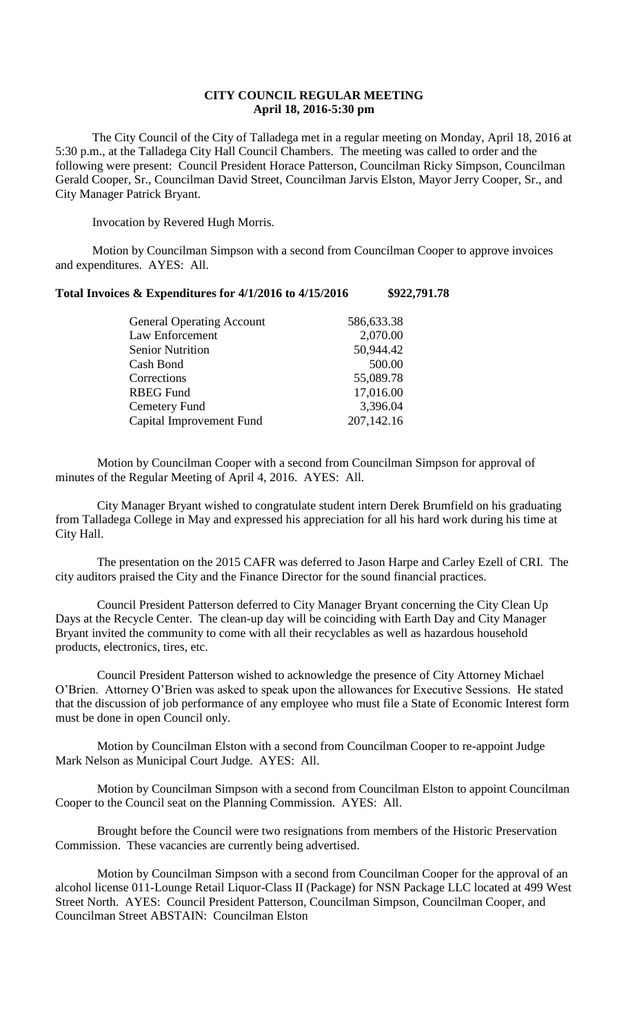## **CITY COUNCIL REGULAR MEETING April 18, 2016-5:30 pm**

The City Council of the City of Talladega met in a regular meeting on Monday, April 18, 2016 at 5:30 p.m., at the Talladega City Hall Council Chambers. The meeting was called to order and the following were present: Council President Horace Patterson, Councilman Ricky Simpson, Councilman Gerald Cooper, Sr., Councilman David Street, Councilman Jarvis Elston, Mayor Jerry Cooper, Sr., and City Manager Patrick Bryant.

Invocation by Revered Hugh Morris.

Motion by Councilman Simpson with a second from Councilman Cooper to approve invoices and expenditures. AYES: All.

## **Total Invoices & Expenditures for 4/1/2016 to 4/15/2016 \$922,791.78**

| <b>General Operating Account</b> | 586,633.38 |
|----------------------------------|------------|
| Law Enforcement                  | 2,070.00   |
| <b>Senior Nutrition</b>          | 50,944.42  |
| Cash Bond                        | 500.00     |
| Corrections                      | 55,089.78  |
| <b>RBEG Fund</b>                 | 17,016.00  |
| Cemetery Fund                    | 3,396.04   |
| Capital Improvement Fund         | 207,142.16 |
|                                  |            |

Motion by Councilman Cooper with a second from Councilman Simpson for approval of minutes of the Regular Meeting of April 4, 2016. AYES: All.

City Manager Bryant wished to congratulate student intern Derek Brumfield on his graduating from Talladega College in May and expressed his appreciation for all his hard work during his time at City Hall.

The presentation on the 2015 CAFR was deferred to Jason Harpe and Carley Ezell of CRI. The city auditors praised the City and the Finance Director for the sound financial practices.

Council President Patterson deferred to City Manager Bryant concerning the City Clean Up Days at the Recycle Center. The clean-up day will be coinciding with Earth Day and City Manager Bryant invited the community to come with all their recyclables as well as hazardous household products, electronics, tires, etc.

Council President Patterson wished to acknowledge the presence of City Attorney Michael O'Brien. Attorney O'Brien was asked to speak upon the allowances for Executive Sessions. He stated that the discussion of job performance of any employee who must file a State of Economic Interest form must be done in open Council only.

Motion by Councilman Elston with a second from Councilman Cooper to re-appoint Judge Mark Nelson as Municipal Court Judge. AYES: All.

Motion by Councilman Simpson with a second from Councilman Elston to appoint Councilman Cooper to the Council seat on the Planning Commission. AYES: All.

Brought before the Council were two resignations from members of the Historic Preservation Commission. These vacancies are currently being advertised.

Motion by Councilman Simpson with a second from Councilman Cooper for the approval of an alcohol license 011-Lounge Retail Liquor-Class II (Package) for NSN Package LLC located at 499 West Street North. AYES: Council President Patterson, Councilman Simpson, Councilman Cooper, and Councilman Street ABSTAIN: Councilman Elston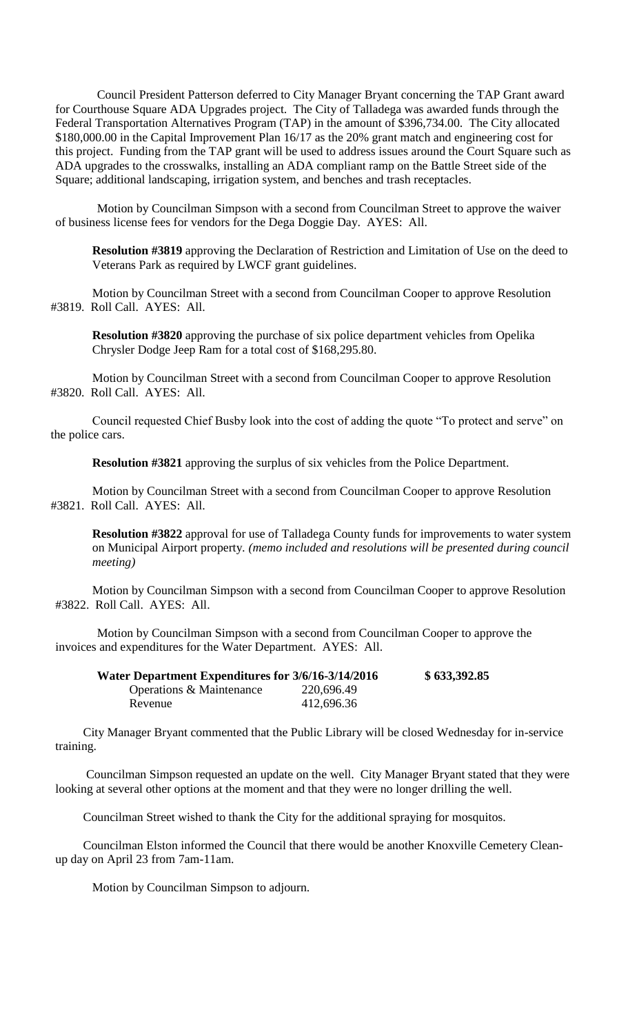Council President Patterson deferred to City Manager Bryant concerning the TAP Grant award for Courthouse Square ADA Upgrades project. The City of Talladega was awarded funds through the Federal Transportation Alternatives Program (TAP) in the amount of \$396,734.00. The City allocated \$180,000.00 in the Capital Improvement Plan 16/17 as the 20% grant match and engineering cost for this project. Funding from the TAP grant will be used to address issues around the Court Square such as ADA upgrades to the crosswalks, installing an ADA compliant ramp on the Battle Street side of the Square; additional landscaping, irrigation system, and benches and trash receptacles.

Motion by Councilman Simpson with a second from Councilman Street to approve the waiver of business license fees for vendors for the Dega Doggie Day. AYES: All.

**Resolution #3819** approving the Declaration of Restriction and Limitation of Use on the deed to Veterans Park as required by LWCF grant guidelines.

Motion by Councilman Street with a second from Councilman Cooper to approve Resolution #3819. Roll Call. AYES: All.

**Resolution #3820** approving the purchase of six police department vehicles from Opelika Chrysler Dodge Jeep Ram for a total cost of \$168,295.80.

Motion by Councilman Street with a second from Councilman Cooper to approve Resolution #3820. Roll Call. AYES: All.

Council requested Chief Busby look into the cost of adding the quote "To protect and serve" on the police cars.

**Resolution #3821** approving the surplus of six vehicles from the Police Department.

Motion by Councilman Street with a second from Councilman Cooper to approve Resolution #3821. Roll Call. AYES: All.

**Resolution #3822** approval for use of Talladega County funds for improvements to water system on Municipal Airport property*. (memo included and resolutions will be presented during council meeting)*

Motion by Councilman Simpson with a second from Councilman Cooper to approve Resolution #3822. Roll Call. AYES: All.

Motion by Councilman Simpson with a second from Councilman Cooper to approve the invoices and expenditures for the Water Department. AYES: All.

| Water Department Expenditures for 3/6/16-3/14/2016 |            | \$633,392.85 |
|----------------------------------------------------|------------|--------------|
| Operations & Maintenance                           | 220,696.49 |              |
| Revenue                                            | 412,696.36 |              |

City Manager Bryant commented that the Public Library will be closed Wednesday for in-service training.

Councilman Simpson requested an update on the well. City Manager Bryant stated that they were looking at several other options at the moment and that they were no longer drilling the well.

Councilman Street wished to thank the City for the additional spraying for mosquitos.

Councilman Elston informed the Council that there would be another Knoxville Cemetery Cleanup day on April 23 from 7am-11am.

Motion by Councilman Simpson to adjourn.